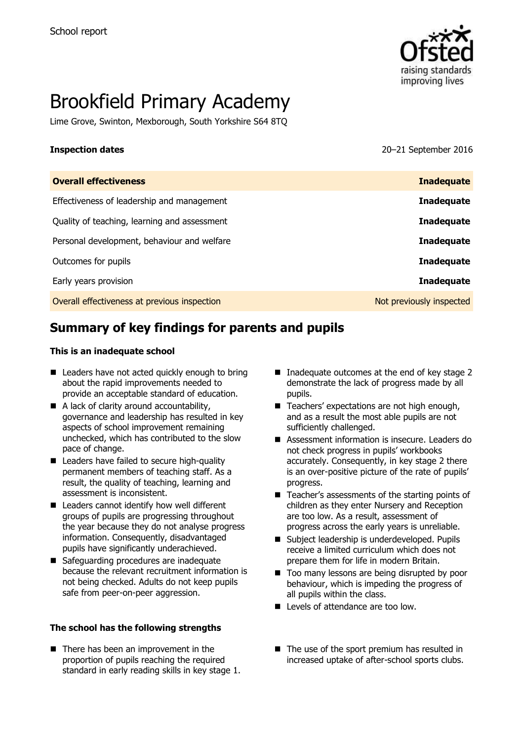

# Brookfield Primary Academy

Lime Grove, Swinton, Mexborough, South Yorkshire S64 8TQ

**Inspection dates** 20–21 September 2016

| <b>Overall effectiveness</b>                 | <b>Inadequate</b>        |
|----------------------------------------------|--------------------------|
| Effectiveness of leadership and management   | <b>Inadequate</b>        |
| Quality of teaching, learning and assessment | <b>Inadequate</b>        |
| Personal development, behaviour and welfare  | <b>Inadequate</b>        |
| Outcomes for pupils                          | <b>Inadequate</b>        |
| Early years provision                        | <b>Inadequate</b>        |
| Overall effectiveness at previous inspection | Not previously inspected |

# **Summary of key findings for parents and pupils**

#### **This is an inadequate school**

- Leaders have not acted quickly enough to bring about the rapid improvements needed to provide an acceptable standard of education.
- A lack of clarity around accountability, governance and leadership has resulted in key aspects of school improvement remaining unchecked, which has contributed to the slow pace of change.
- Leaders have failed to secure high-quality permanent members of teaching staff. As a result, the quality of teaching, learning and assessment is inconsistent.
- Leaders cannot identify how well different groups of pupils are progressing throughout the year because they do not analyse progress information. Consequently, disadvantaged pupils have significantly underachieved.
- Safeguarding procedures are inadequate because the relevant recruitment information is not being checked. Adults do not keep pupils safe from peer-on-peer aggression.

#### **The school has the following strengths**

■ There has been an improvement in the proportion of pupils reaching the required standard in early reading skills in key stage 1.

- Inadequate outcomes at the end of key stage  $2$ demonstrate the lack of progress made by all pupils.
- Teachers' expectations are not high enough, and as a result the most able pupils are not sufficiently challenged.
- Assessment information is insecure. Leaders do not check progress in pupils' workbooks accurately. Consequently, in key stage 2 there is an over-positive picture of the rate of pupils' progress.
- Teacher's assessments of the starting points of children as they enter Nursery and Reception are too low. As a result, assessment of progress across the early years is unreliable.
- Subject leadership is underdeveloped. Pupils receive a limited curriculum which does not prepare them for life in modern Britain.
- Too many lessons are being disrupted by poor behaviour, which is impeding the progress of all pupils within the class.
- Levels of attendance are too low.
- $\blacksquare$  The use of the sport premium has resulted in increased uptake of after-school sports clubs.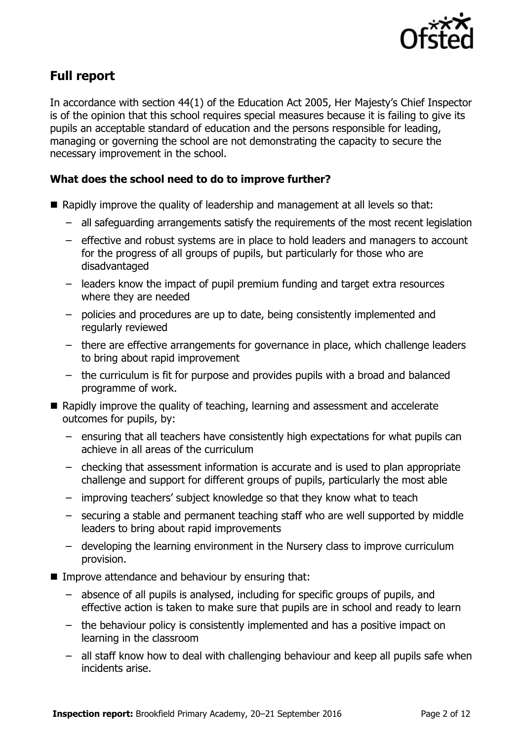

# **Full report**

In accordance with section 44(1) of the Education Act 2005, Her Majesty's Chief Inspector is of the opinion that this school requires special measures because it is failing to give its pupils an acceptable standard of education and the persons responsible for leading, managing or governing the school are not demonstrating the capacity to secure the necessary improvement in the school.

### **What does the school need to do to improve further?**

- Rapidly improve the quality of leadership and management at all levels so that:
	- all safeguarding arrangements satisfy the requirements of the most recent legislation
	- effective and robust systems are in place to hold leaders and managers to account for the progress of all groups of pupils, but particularly for those who are disadvantaged
	- leaders know the impact of pupil premium funding and target extra resources where they are needed
	- policies and procedures are up to date, being consistently implemented and regularly reviewed
	- there are effective arrangements for governance in place, which challenge leaders to bring about rapid improvement
	- the curriculum is fit for purpose and provides pupils with a broad and balanced programme of work.
- Rapidly improve the quality of teaching, learning and assessment and accelerate outcomes for pupils, by:
	- ensuring that all teachers have consistently high expectations for what pupils can achieve in all areas of the curriculum
	- checking that assessment information is accurate and is used to plan appropriate challenge and support for different groups of pupils, particularly the most able
	- improving teachers' subject knowledge so that they know what to teach
	- securing a stable and permanent teaching staff who are well supported by middle leaders to bring about rapid improvements
	- developing the learning environment in the Nursery class to improve curriculum provision.
- **IMPROVE Attendance and behaviour by ensuring that:** 
	- absence of all pupils is analysed, including for specific groups of pupils, and effective action is taken to make sure that pupils are in school and ready to learn
	- the behaviour policy is consistently implemented and has a positive impact on learning in the classroom
	- all staff know how to deal with challenging behaviour and keep all pupils safe when incidents arise.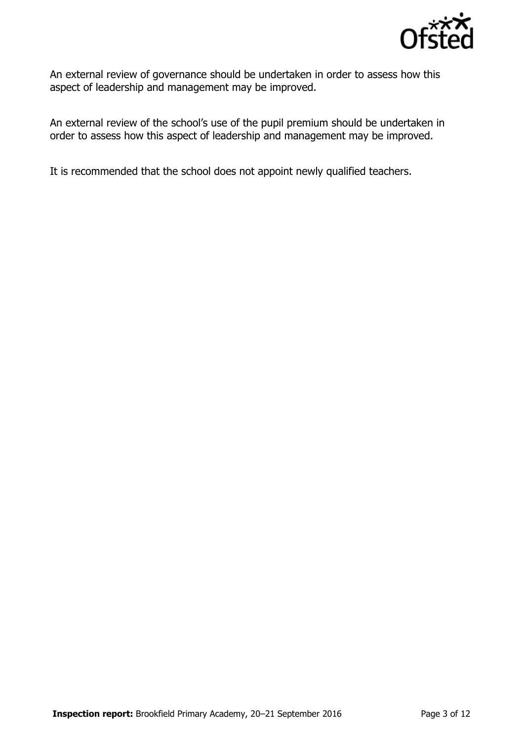

An external review of governance should be undertaken in order to assess how this aspect of leadership and management may be improved.

An external review of the school's use of the pupil premium should be undertaken in order to assess how this aspect of leadership and management may be improved.

It is recommended that the school does not appoint newly qualified teachers.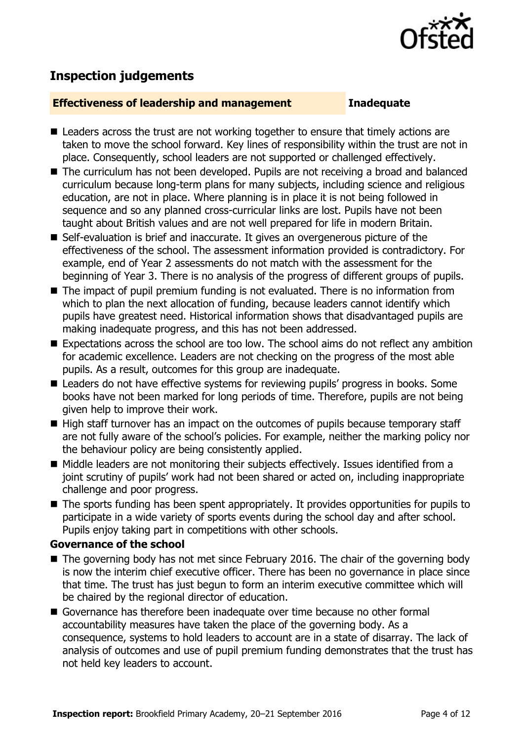

# **Inspection judgements**

#### **Effectiveness of leadership and management Inadequate**

- Leaders across the trust are not working together to ensure that timely actions are taken to move the school forward. Key lines of responsibility within the trust are not in place. Consequently, school leaders are not supported or challenged effectively.
- The curriculum has not been developed. Pupils are not receiving a broad and balanced curriculum because long-term plans for many subjects, including science and religious education, are not in place. Where planning is in place it is not being followed in sequence and so any planned cross-curricular links are lost. Pupils have not been taught about British values and are not well prepared for life in modern Britain.
- Self-evaluation is brief and inaccurate. It gives an overgenerous picture of the effectiveness of the school. The assessment information provided is contradictory. For example, end of Year 2 assessments do not match with the assessment for the beginning of Year 3. There is no analysis of the progress of different groups of pupils.
- The impact of pupil premium funding is not evaluated. There is no information from which to plan the next allocation of funding, because leaders cannot identify which pupils have greatest need. Historical information shows that disadvantaged pupils are making inadequate progress, and this has not been addressed.
- Expectations across the school are too low. The school aims do not reflect any ambition for academic excellence. Leaders are not checking on the progress of the most able pupils. As a result, outcomes for this group are inadequate.
- Leaders do not have effective systems for reviewing pupils' progress in books. Some books have not been marked for long periods of time. Therefore, pupils are not being given help to improve their work.
- High staff turnover has an impact on the outcomes of pupils because temporary staff are not fully aware of the school's policies. For example, neither the marking policy nor the behaviour policy are being consistently applied.
- Middle leaders are not monitoring their subjects effectively. Issues identified from a joint scrutiny of pupils' work had not been shared or acted on, including inappropriate challenge and poor progress.
- The sports funding has been spent appropriately. It provides opportunities for pupils to participate in a wide variety of sports events during the school day and after school. Pupils enjoy taking part in competitions with other schools.

### **Governance of the school**

- The governing body has not met since February 2016. The chair of the governing body is now the interim chief executive officer. There has been no governance in place since that time. The trust has just begun to form an interim executive committee which will be chaired by the regional director of education.
- Governance has therefore been inadequate over time because no other formal accountability measures have taken the place of the governing body. As a consequence, systems to hold leaders to account are in a state of disarray. The lack of analysis of outcomes and use of pupil premium funding demonstrates that the trust has not held key leaders to account.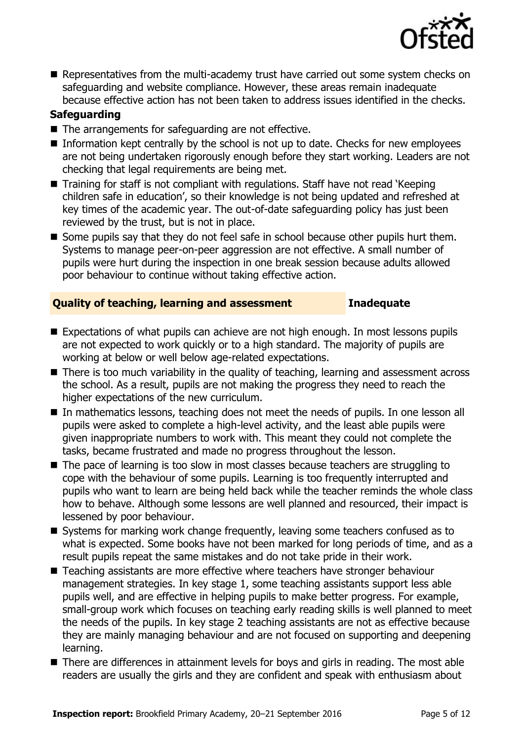

Representatives from the multi-academy trust have carried out some system checks on safeguarding and website compliance. However, these areas remain inadequate because effective action has not been taken to address issues identified in the checks.

### **Safeguarding**

- The arrangements for safeguarding are not effective.
- $\blacksquare$  Information kept centrally by the school is not up to date. Checks for new employees are not being undertaken rigorously enough before they start working. Leaders are not checking that legal requirements are being met.
- Training for staff is not compliant with regulations. Staff have not read 'Keeping children safe in education', so their knowledge is not being updated and refreshed at key times of the academic year. The out-of-date safeguarding policy has just been reviewed by the trust, but is not in place.
- Some pupils say that they do not feel safe in school because other pupils hurt them. Systems to manage peer-on-peer aggression are not effective. A small number of pupils were hurt during the inspection in one break session because adults allowed poor behaviour to continue without taking effective action.

### **Quality of teaching, learning and assessment Inadequate**

- Expectations of what pupils can achieve are not high enough. In most lessons pupils are not expected to work quickly or to a high standard. The majority of pupils are working at below or well below age-related expectations.
- There is too much variability in the quality of teaching, learning and assessment across the school. As a result, pupils are not making the progress they need to reach the higher expectations of the new curriculum.
- In mathematics lessons, teaching does not meet the needs of pupils. In one lesson all pupils were asked to complete a high-level activity, and the least able pupils were given inappropriate numbers to work with. This meant they could not complete the tasks, became frustrated and made no progress throughout the lesson.
- The pace of learning is too slow in most classes because teachers are struggling to cope with the behaviour of some pupils. Learning is too frequently interrupted and pupils who want to learn are being held back while the teacher reminds the whole class how to behave. Although some lessons are well planned and resourced, their impact is lessened by poor behaviour.
- Systems for marking work change frequently, leaving some teachers confused as to what is expected. Some books have not been marked for long periods of time, and as a result pupils repeat the same mistakes and do not take pride in their work.
- Teaching assistants are more effective where teachers have stronger behaviour management strategies. In key stage 1, some teaching assistants support less able pupils well, and are effective in helping pupils to make better progress. For example, small-group work which focuses on teaching early reading skills is well planned to meet the needs of the pupils. In key stage 2 teaching assistants are not as effective because they are mainly managing behaviour and are not focused on supporting and deepening learning.
- There are differences in attainment levels for boys and girls in reading. The most able readers are usually the girls and they are confident and speak with enthusiasm about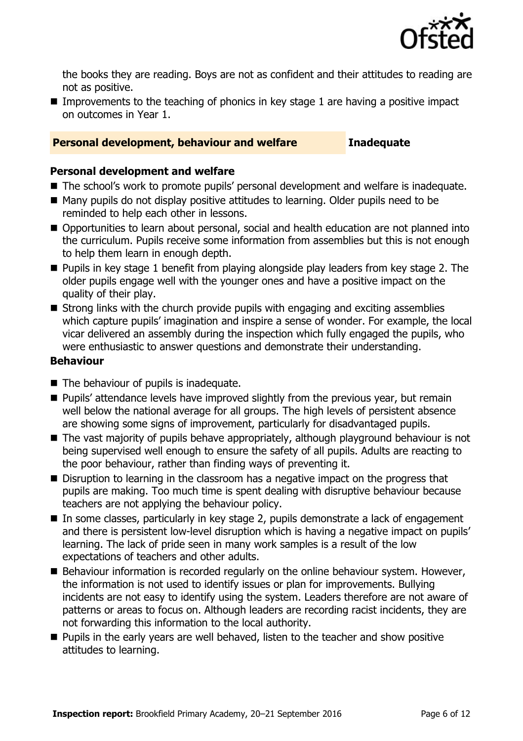

the books they are reading. Boys are not as confident and their attitudes to reading are not as positive.

Improvements to the teaching of phonics in key stage 1 are having a positive impact on outcomes in Year 1.

### **Personal development, behaviour and welfare Inadequate**

#### **Personal development and welfare**

- The school's work to promote pupils' personal development and welfare is inadequate.
- Many pupils do not display positive attitudes to learning. Older pupils need to be reminded to help each other in lessons.
- Opportunities to learn about personal, social and health education are not planned into the curriculum. Pupils receive some information from assemblies but this is not enough to help them learn in enough depth.
- **Pupils in key stage 1 benefit from playing alongside play leaders from key stage 2. The** older pupils engage well with the younger ones and have a positive impact on the quality of their play.
- Strong links with the church provide pupils with engaging and exciting assemblies which capture pupils' imagination and inspire a sense of wonder. For example, the local vicar delivered an assembly during the inspection which fully engaged the pupils, who were enthusiastic to answer questions and demonstrate their understanding.

#### **Behaviour**

- The behaviour of pupils is inadequate.
- **Pupils' attendance levels have improved slightly from the previous year, but remain** well below the national average for all groups. The high levels of persistent absence are showing some signs of improvement, particularly for disadvantaged pupils.
- The vast majority of pupils behave appropriately, although playground behaviour is not being supervised well enough to ensure the safety of all pupils. Adults are reacting to the poor behaviour, rather than finding ways of preventing it.
- Disruption to learning in the classroom has a negative impact on the progress that pupils are making. Too much time is spent dealing with disruptive behaviour because teachers are not applying the behaviour policy.
- In some classes, particularly in key stage 2, pupils demonstrate a lack of engagement and there is persistent low-level disruption which is having a negative impact on pupils' learning. The lack of pride seen in many work samples is a result of the low expectations of teachers and other adults.
- Behaviour information is recorded regularly on the online behaviour system. However, the information is not used to identify issues or plan for improvements. Bullying incidents are not easy to identify using the system. Leaders therefore are not aware of patterns or areas to focus on. Although leaders are recording racist incidents, they are not forwarding this information to the local authority.
- **Pupils in the early years are well behaved, listen to the teacher and show positive** attitudes to learning.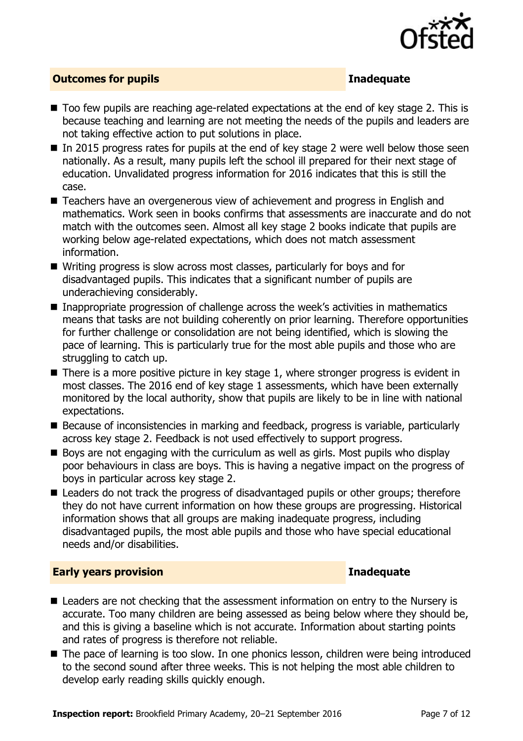

### **Outcomes for pupils Inadequate**

- Too few pupils are reaching age-related expectations at the end of key stage 2. This is because teaching and learning are not meeting the needs of the pupils and leaders are not taking effective action to put solutions in place.
- $\blacksquare$  In 2015 progress rates for pupils at the end of key stage 2 were well below those seen nationally. As a result, many pupils left the school ill prepared for their next stage of education. Unvalidated progress information for 2016 indicates that this is still the case.
- Teachers have an overgenerous view of achievement and progress in English and mathematics. Work seen in books confirms that assessments are inaccurate and do not match with the outcomes seen. Almost all key stage 2 books indicate that pupils are working below age-related expectations, which does not match assessment information.
- Writing progress is slow across most classes, particularly for boys and for disadvantaged pupils. This indicates that a significant number of pupils are underachieving considerably.
- Inappropriate progression of challenge across the week's activities in mathematics means that tasks are not building coherently on prior learning. Therefore opportunities for further challenge or consolidation are not being identified, which is slowing the pace of learning. This is particularly true for the most able pupils and those who are struggling to catch up.
- $\blacksquare$  There is a more positive picture in key stage 1, where stronger progress is evident in most classes. The 2016 end of key stage 1 assessments, which have been externally monitored by the local authority, show that pupils are likely to be in line with national expectations.
- Because of inconsistencies in marking and feedback, progress is variable, particularly across key stage 2. Feedback is not used effectively to support progress.
- Boys are not engaging with the curriculum as well as girls. Most pupils who display poor behaviours in class are boys. This is having a negative impact on the progress of boys in particular across key stage 2.
- Leaders do not track the progress of disadvantaged pupils or other groups; therefore they do not have current information on how these groups are progressing. Historical information shows that all groups are making inadequate progress, including disadvantaged pupils, the most able pupils and those who have special educational needs and/or disabilities.

### **Early years provision Inadequate**

- Leaders are not checking that the assessment information on entry to the Nursery is accurate. Too many children are being assessed as being below where they should be, and this is giving a baseline which is not accurate. Information about starting points and rates of progress is therefore not reliable.
- The pace of learning is too slow. In one phonics lesson, children were being introduced to the second sound after three weeks. This is not helping the most able children to develop early reading skills quickly enough.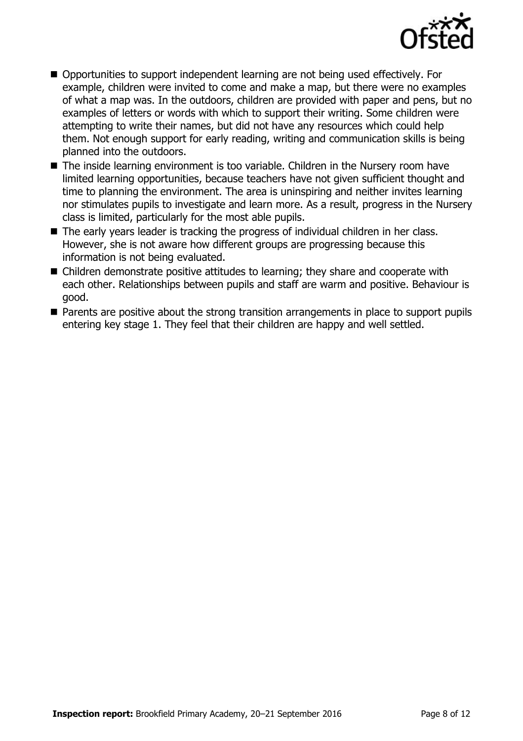

- Opportunities to support independent learning are not being used effectively. For example, children were invited to come and make a map, but there were no examples of what a map was. In the outdoors, children are provided with paper and pens, but no examples of letters or words with which to support their writing. Some children were attempting to write their names, but did not have any resources which could help them. Not enough support for early reading, writing and communication skills is being planned into the outdoors.
- The inside learning environment is too variable. Children in the Nursery room have limited learning opportunities, because teachers have not given sufficient thought and time to planning the environment. The area is uninspiring and neither invites learning nor stimulates pupils to investigate and learn more. As a result, progress in the Nursery class is limited, particularly for the most able pupils.
- The early years leader is tracking the progress of individual children in her class. However, she is not aware how different groups are progressing because this information is not being evaluated.
- Children demonstrate positive attitudes to learning; they share and cooperate with each other. Relationships between pupils and staff are warm and positive. Behaviour is good.
- **Parents are positive about the strong transition arrangements in place to support pupils** entering key stage 1. They feel that their children are happy and well settled.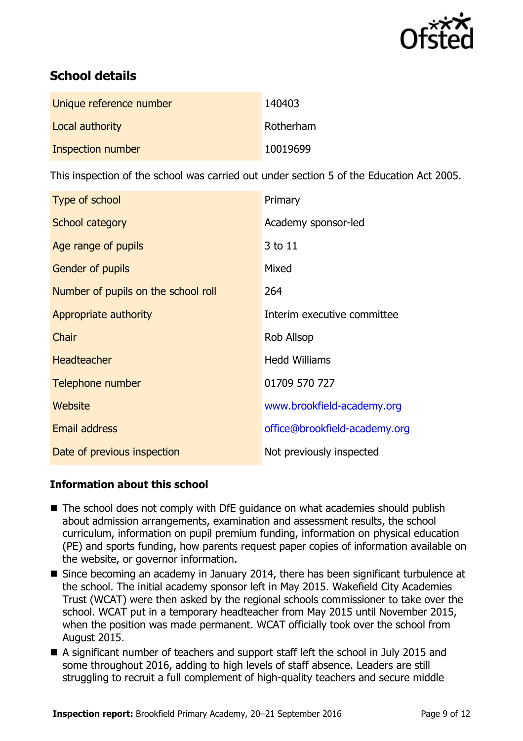

# **School details**

| Unique reference number | 140403    |
|-------------------------|-----------|
| Local authority         | Rotherham |
| Inspection number       | 10019699  |

This inspection of the school was carried out under section 5 of the Education Act 2005.

| Type of school                      | Primary                       |  |
|-------------------------------------|-------------------------------|--|
| School category                     | Academy sponsor-led           |  |
| Age range of pupils                 | 3 to 11                       |  |
| <b>Gender of pupils</b>             | Mixed                         |  |
| Number of pupils on the school roll | 264                           |  |
| Appropriate authority               | Interim executive committee   |  |
| Chair                               | <b>Rob Allsop</b>             |  |
| <b>Headteacher</b>                  | <b>Hedd Williams</b>          |  |
| Telephone number                    | 01709 570 727                 |  |
| Website                             | www.brookfield-academy.org    |  |
| <b>Email address</b>                | office@brookfield-academy.org |  |
| Date of previous inspection         | Not previously inspected      |  |

### **Information about this school**

- The school does not comply with DfE quidance on what academies should publish about admission arrangements, examination and assessment results, the school curriculum, information on pupil premium funding, information on physical education (PE) and sports funding, how parents request paper copies of information available on the website, or governor information.
- Since becoming an academy in January 2014, there has been significant turbulence at the school. The initial academy sponsor left in May 2015. Wakefield City Academies Trust (WCAT) were then asked by the regional schools commissioner to take over the school. WCAT put in a temporary headteacher from May 2015 until November 2015, when the position was made permanent. WCAT officially took over the school from August 2015.
- A significant number of teachers and support staff left the school in July 2015 and some throughout 2016, adding to high levels of staff absence. Leaders are still struggling to recruit a full complement of high-quality teachers and secure middle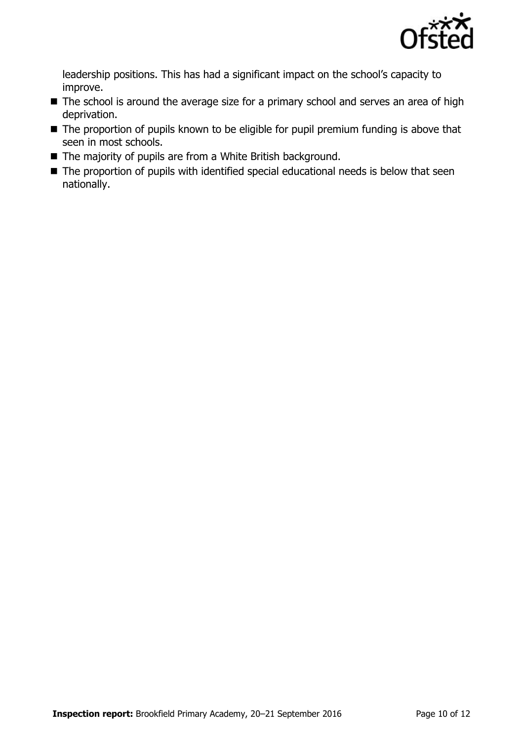

leadership positions. This has had a significant impact on the school's capacity to improve.

- The school is around the average size for a primary school and serves an area of high deprivation.
- The proportion of pupils known to be eligible for pupil premium funding is above that seen in most schools.
- The majority of pupils are from a White British background.
- The proportion of pupils with identified special educational needs is below that seen nationally.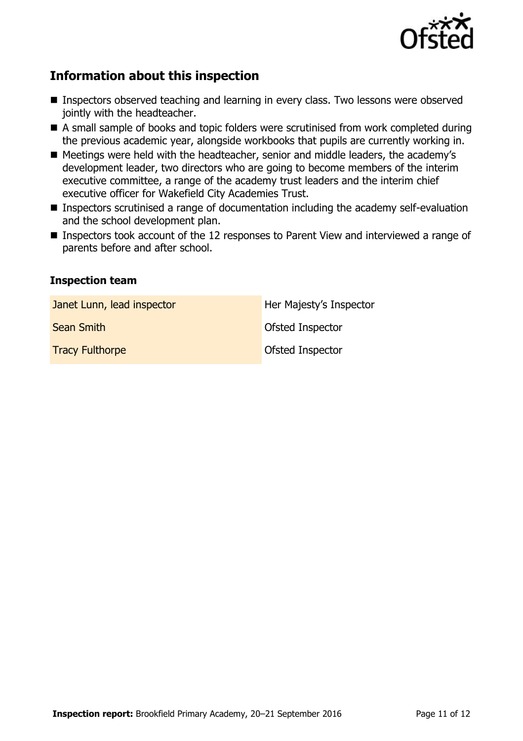

## **Information about this inspection**

- **Inspectors observed teaching and learning in every class. Two lessons were observed** jointly with the headteacher.
- A small sample of books and topic folders were scrutinised from work completed during the previous academic year, alongside workbooks that pupils are currently working in.
- Meetings were held with the headteacher, senior and middle leaders, the academy's development leader, two directors who are going to become members of the interim executive committee, a range of the academy trust leaders and the interim chief executive officer for Wakefield City Academies Trust.
- Inspectors scrutinised a range of documentation including the academy self-evaluation and the school development plan.
- Inspectors took account of the 12 responses to Parent View and interviewed a range of parents before and after school.

#### **Inspection team**

| Janet Lunn, lead inspector | Her Majesty's Inspector |
|----------------------------|-------------------------|
| <b>Sean Smith</b>          | <b>Ofsted Inspector</b> |
| <b>Tracy Fulthorpe</b>     | Ofsted Inspector        |